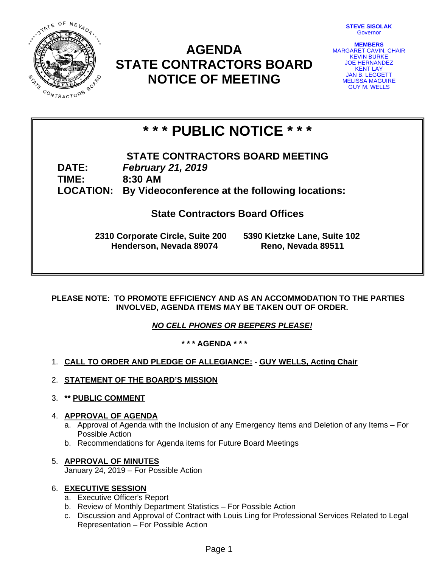

# **AGENDA STATE CONTRACTORS BOARD NOTICE OF MEETING**

| <b>STEVE SISOLAK</b> |
|----------------------|
| Governor             |

**MEMBERS**  MARGARET CAVIN, CHAIR KEVIN BURKE JOE HERNANDEZ KENT LAY JAN B. LEGGETT MELISSA MAGUIRE GUY M. WELLS

# **\* \* \* PUBLIC NOTICE \* \* \***

# **STATE CONTRACTORS BOARD MEETING DATE:** *February 21, 2019*

**TIME: 8:30 AM LOCATION: By Videoconference at the following locations:** 

**State Contractors Board Offices** 

**2310 Corporate Circle, Suite 200 5390 Kietzke Lane, Suite 102 Henderson, Nevada 89074 Reno, Nevada 89511**

**PLEASE NOTE: TO PROMOTE EFFICIENCY AND AS AN ACCOMMODATION TO THE PARTIES INVOLVED, AGENDA ITEMS MAY BE TAKEN OUT OF ORDER.** 

*NO CELL PHONES OR BEEPERS PLEASE!* 

**\* \* \* AGENDA \* \* \*** 

- 1. **CALL TO ORDER AND PLEDGE OF ALLEGIANCE: GUY WELLS, Acting Chair**
- 2. **STATEMENT OF THE BOARD'S MISSION**
- 3. **\*\* PUBLIC COMMENT**

#### 4. **APPROVAL OF AGENDA**

- a. Approval of Agenda with the Inclusion of any Emergency Items and Deletion of any Items For Possible Action
- b. Recommendations for Agenda items for Future Board Meetings

# 5. **APPROVAL OF MINUTES**

January 24, 2019 – For Possible Action

# 6. **EXECUTIVE SESSION**

- a. Executive Officer's Report
- b. Review of Monthly Department Statistics For Possible Action
- c. Discussion and Approval of Contract with Louis Ling for Professional Services Related to Legal Representation – For Possible Action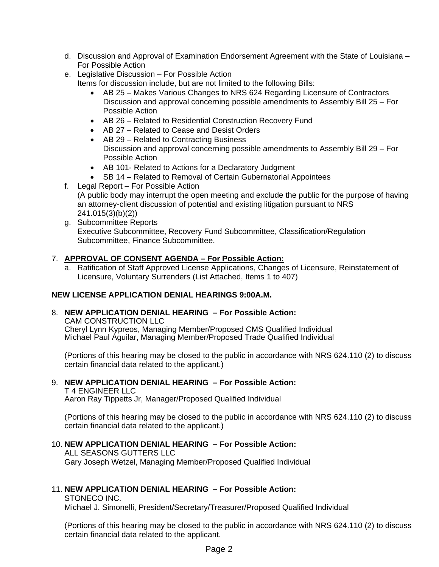- d. Discussion and Approval of Examination Endorsement Agreement with the State of Louisiana For Possible Action
- e. Legislative Discussion For Possible Action Items for discussion include, but are not limited to the following Bills:
	- AB 25 Makes Various Changes to NRS 624 Regarding Licensure of Contractors Discussion and approval concerning possible amendments to Assembly Bill 25 – For Possible Action
	- AB 26 Related to Residential Construction Recovery Fund
	- AB 27 Related to Cease and Desist Orders
	- AB 29 Related to Contracting Business Discussion and approval concerning possible amendments to Assembly Bill 29 – For Possible Action
	- AB 101- Related to Actions for a Declaratory Judgment
	- SB 14 Related to Removal of Certain Gubernatorial Appointees
- f. Legal Report For Possible Action (A public body may interrupt the open meeting and exclude the public for the purpose of having an attorney-client discussion of potential and existing litigation pursuant to NRS 241.015(3)(b)(2))
- g. Subcommittee Reports Executive Subcommittee, Recovery Fund Subcommittee, Classification/Regulation Subcommittee, Finance Subcommittee.

## 7. **APPROVAL OF CONSENT AGENDA – For Possible Action:**

a. Ratification of Staff Approved License Applications, Changes of Licensure, Reinstatement of Licensure, Voluntary Surrenders (List Attached, Items 1 to 407)

# **NEW LICENSE APPLICATION DENIAL HEARINGS 9:00A.M.**

#### 8. **NEW APPLICATION DENIAL HEARING – For Possible Action:**

CAM CONSTRUCTION LLC

Cheryl Lynn Kypreos, Managing Member/Proposed CMS Qualified Individual Michael Paul Aguilar, Managing Member/Proposed Trade Qualified Individual

(Portions of this hearing may be closed to the public in accordance with NRS 624.110 (2) to discuss certain financial data related to the applicant.)

#### 9. **NEW APPLICATION DENIAL HEARING – For Possible Action:**

T 4 ENGINEER LLC

Aaron Ray Tippetts Jr, Manager/Proposed Qualified Individual

(Portions of this hearing may be closed to the public in accordance with NRS 624.110 (2) to discuss certain financial data related to the applicant.)

# 10. **NEW APPLICATION DENIAL HEARING – For Possible Action:**

ALL SEASONS GUTTERS LLC Gary Joseph Wetzel, Managing Member/Proposed Qualified Individual

# 11. **NEW APPLICATION DENIAL HEARING – For Possible Action:**

STONECO INC.

Michael J. Simonelli, President/Secretary/Treasurer/Proposed Qualified Individual

(Portions of this hearing may be closed to the public in accordance with NRS 624.110 (2) to discuss certain financial data related to the applicant.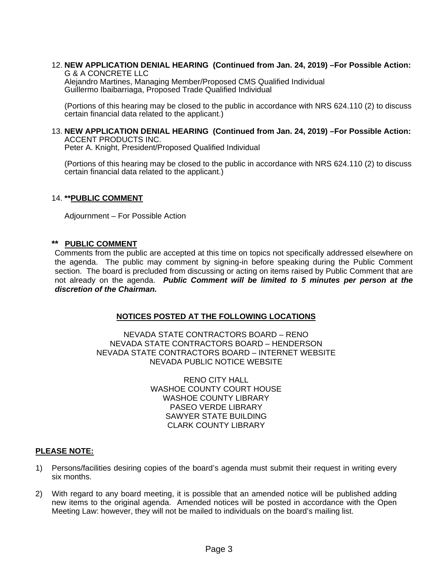#### 12. **NEW APPLICATION DENIAL HEARING (Continued from Jan. 24, 2019) –For Possible Action:**  G & A CONCRETE LLC

Alejandro Martines, Managing Member/Proposed CMS Qualified Individual Guillermo Ibaibarriaga, Proposed Trade Qualified Individual

(Portions of this hearing may be closed to the public in accordance with NRS 624.110 (2) to discuss certain financial data related to the applicant.)

## 13. **NEW APPLICATION DENIAL HEARING (Continued from Jan. 24, 2019) –For Possible Action:**  ACCENT PRODUCTS INC.

Peter A. Knight, President/Proposed Qualified Individual

(Portions of this hearing may be closed to the public in accordance with NRS 624.110 (2) to discuss certain financial data related to the applicant.)

#### 14. **\*\*PUBLIC COMMENT**

Adjournment – For Possible Action

#### **\*\* PUBLIC COMMENT**

Comments from the public are accepted at this time on topics not specifically addressed elsewhere on the agenda. The public may comment by signing-in before speaking during the Public Comment section. The board is precluded from discussing or acting on items raised by Public Comment that are not already on the agenda. *Public Comment will be limited to 5 minutes per person at the discretion of the Chairman.* 

#### **NOTICES POSTED AT THE FOLLOWING LOCATIONS**

NEVADA STATE CONTRACTORS BOARD – RENO NEVADA STATE CONTRACTORS BOARD – HENDERSON NEVADA STATE CONTRACTORS BOARD – INTERNET WEBSITE NEVADA PUBLIC NOTICE WEBSITE

> RENO CITY HALL WASHOE COUNTY COURT HOUSE WASHOE COUNTY LIBRARY PASEO VERDE LIBRARY SAWYER STATE BUILDING CLARK COUNTY LIBRARY

#### **PLEASE NOTE:**

- 1) Persons/facilities desiring copies of the board's agenda must submit their request in writing every six months.
- 2) With regard to any board meeting, it is possible that an amended notice will be published adding new items to the original agenda. Amended notices will be posted in accordance with the Open Meeting Law: however, they will not be mailed to individuals on the board's mailing list.